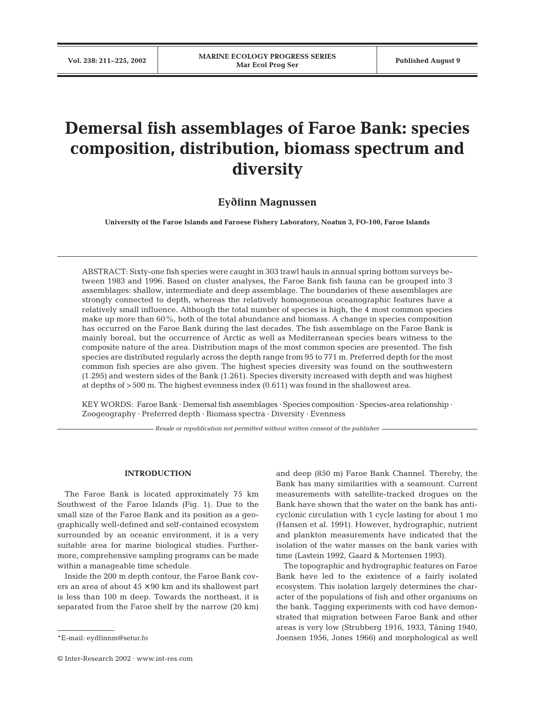# **Demersal fish assemblages of Faroe Bank: species composition, distribution, biomass spectrum and diversity**

## **Ey7finn Magnussen**

**University of the Faroe Islands and Faroese Fishery Laboratory, Noatun 3, FO-100, Faroe Islands**

ABSTRACT: Sixty-one fish species were caught in 303 trawl hauls in annual spring bottom surveys between 1983 and 1996. Based on cluster analyses, the Faroe Bank fish fauna can be grouped into 3 assemblages: shallow, intermediate and deep assemblage. The boundaries of these assemblages are strongly connected to depth, whereas the relatively homogeneous oceanographic features have a relatively small influence. Although the total number of species is high, the 4 most common species make up more than 60%, both of the total abundance and biomass. A change in species composition has occurred on the Faroe Bank during the last decades. The fish assemblage on the Faroe Bank is mainly boreal, but the occurrence of Arctic as well as Mediterranean species bears witness to the composite nature of the area. Distribution maps of the most common species are presented. The fish species are distributed regularly across the depth range from 95 to 771 m. Preferred depth for the most common fish species are also given. The highest species diversity was found on the southwestern (1.295) and western sides of the Bank (1.261). Species diversity increased with depth and was highest at depths of >500 m. The highest evenness index (0.611) was found in the shallowest area.

KEY WORDS: Faroe Bank · Demersal fish assemblages · Species composition · Species-area relationship · Zoogeography · Preferred depth · Biomass spectra · Diversity · Evenness

*Resale or republication not permitted without written consent of the publisher*

## **INTRODUCTION**

The Faroe Bank is located approximately 75 km Southwest of the Faroe Islands (Fig. 1). Due to the small size of the Faroe Bank and its position as a geographically well-defined and self-contained ecosystem surrounded by an oceanic environment, it is a very suitable area for marine biological studies. Furthermore, comprehensive sampling programs can be made within a manageable time schedule.

Inside the 200 m depth contour, the Faroe Bank covers an area of about  $45 \times 90$  km and its shallowest part is less than 100 m deep. Towards the northeast, it is separated from the Faroe shelf by the narrow (20 km)

© Inter-Research 2002 · www.int-res.com

and deep (850 m) Faroe Bank Channel. Thereby, the Bank has many similarities with a seamount. Current measurements with satellite-tracked drogues on the Bank have shown that the water on the bank has anticyclonic circulation with 1 cycle lasting for about 1 mo (Hansen et al. 1991). However, hydrographic, nutrient and plankton measurements have indicated that the isolation of the water masses on the bank varies with time (Lastein 1992, Gaard & Mortensen 1993).

The topographic and hydrographic features on Faroe Bank have led to the existence of a fairly isolated ecosystem. This isolation largely determines the character of the populations of fish and other organisms on the bank. Tagging experiments with cod have demonstrated that migration between Faroe Bank and other areas is very low (Strubberg 1916, 1933, Tåning 1940, Joensen 1956, Jones 1966) and morphological as well

<sup>\*</sup>E-mail: eydfinnm@setur.fo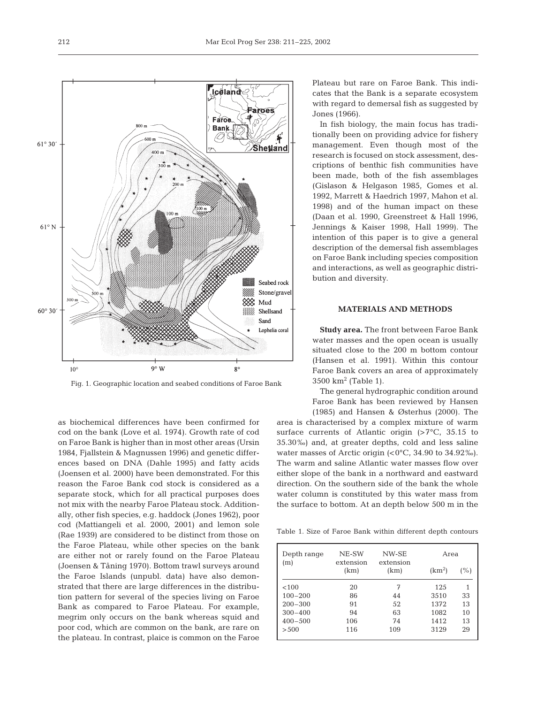as biochemical differences have been confirmed for cod on the bank (Love et al. 1974). Growth rate of cod on Faroe Bank is higher than in most other areas (Ursin 1984, Fjallstein & Magnussen 1996) and genetic differences based on DNA (Dahle 1995) and fatty acids (Joensen et al. 2000) have been demonstrated. For this reason the Faroe Bank cod stock is considered as a separate stock, which for all practical purposes does not mix with the nearby Faroe Plateau stock. Additionally, other fish species, e.g. haddock (Jones 1962), poor cod (Mattiangeli et al. 2000, 2001) and lemon sole (Rae 1939) are considered to be distinct from those on the Faroe Plateau, while other species on the bank are either not or rarely found on the Faroe Plateau (Joensen & Tåning 1970). Bottom trawl surveys around the Faroe Islands (unpubl. data) have also demonstrated that there are large differences in the distribution pattern for several of the species living on Faroe Bank as compared to Faroe Plateau. For example, megrim only occurs on the bank whereas squid and poor cod, which are common on the bank, are rare on the plateau. In contrast, plaice is common on the Faroe

**Study area.** The front between Faroe Bank water masses and the open ocean is usually situated close to the 200 m bottom contour (Hansen et al. 1991). Within this contour Faroe Bank covers an area of approximately  $3500 \text{ km}^2$  (Table 1).

**MATERIALS AND METHODS**

bution and diversity.

The general hydrographic condition around Faroe Bank has been reviewed by Hansen (1985) and Hansen & Østerhus (2000). The

area is characterised by a complex mixture of warm surface currents of Atlantic origin  $(>7°C, 35.15)$  to 35.30‰) and, at greater depths, cold and less saline water masses of Arctic origin  $( $0^{\circ}$ C, 34.90 to 34.92‰).$ The warm and saline Atlantic water masses flow over either slope of the bank in a northward and eastward direction. On the southern side of the bank the whole water column is constituted by this water mass from the surface to bottom. At an depth below 500 m in the

Table 1. Size of Faroe Bank within different depth contours

| Depth range<br>(m) | NE-SW<br>extension | NW-SE<br>extension | Area               |          |  |
|--------------------|--------------------|--------------------|--------------------|----------|--|
|                    | (km)               | (km)               | (km <sup>2</sup> ) | (%)      |  |
| < 100              | 20                 | 7                  | 125                | 1        |  |
| $100 - 200$        | 86                 | 44                 | 3510               | 33       |  |
| $200 - 300$        | 91                 | 52                 | 1372               | 13<br>10 |  |
| $300 - 400$        | 94                 | 63                 | 1082               |          |  |
| $400 - 500$        | 106                | 74                 | 1412               | 13       |  |
| > 500              | 116                | 109                | 3129               | 29       |  |



212

In fish biology, the main focus has traditionally been on providing advice for fishery management. Even though most of the research is focused on stock assessment, descriptions of benthic fish communities have been made, both of the fish assemblages (Gislason & Helgason 1985, Gomes et al. 1992, Marrett & Haedrich 1997, Mahon et al. 1998) and of the human impact on these (Daan et al. 1990, Greenstreet & Hall 1996, Jennings & Kaiser 1998, Hall 1999). The intention of this paper is to give a general description of the demersal fish assemblages on Faroe Bank including species composition and interactions, as well as geographic distri-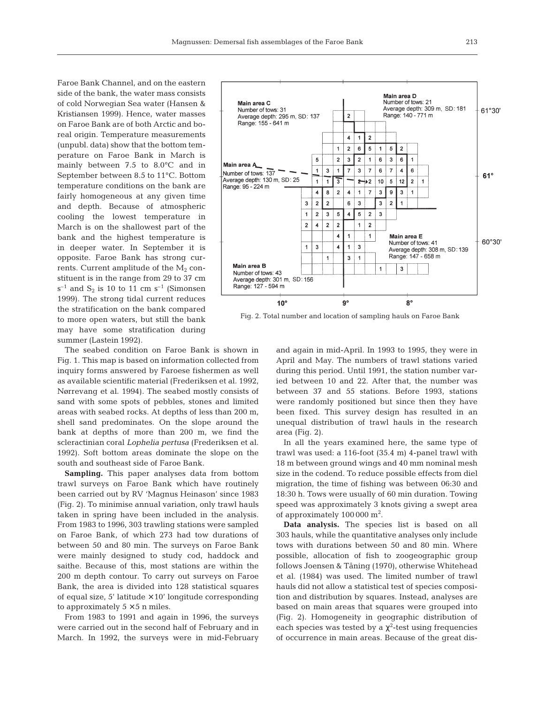Faroe Bank Channel, and on the eastern side of the bank, the water mass consists of cold Norwegian Sea water (Hansen & Kristiansen 1999). Hence, water masses on Faroe Bank are of both Arctic and boreal origin. Temperature measurements (unpubl. data) show that the bottom temperature on Faroe Bank in March is mainly between 7.5 to 8.0°C and in September between 8.5 to 11°C. Bottom temperature conditions on the bank are fairly homogeneous at any given time and depth. Because of atmospheric cooling the lowest temperature in March is on the shallowest part of the bank and the highest temperature is in deeper water. In September it is opposite. Faroe Bank has strong currents. Current amplitude of the  $M_2$  constituent is in the range from 29 to 37 cm  $s^{-1}$  and  $S_2$  is 10 to 11 cm  $s^{-1}$  (Simonsen 1999). The strong tidal current reduces the stratification on the bank compared to more open waters, but still the bank may have some stratification during summer (Lastein 1992).

The seabed condition on Faroe Bank is shown in Fig. 1. This map is based on information collected from inquiry forms answered by Faroese fishermen as well as available scientific material (Frederiksen et al. 1992, Nørrevang et al. 1994). The seabed mostly consists of sand with some spots of pebbles, stones and limited areas with seabed rocks. At depths of less than 200 m, shell sand predominates. On the slope around the bank at depths of more than 200 m, we find the scleractinian coral *Lophelia pertusa* (Frederiksen et al. 1992). Soft bottom areas dominate the slope on the south and southeast side of Faroe Bank.

**Sampling.** This paper analyses data from bottom trawl surveys on Faroe Bank which have routinely been carried out by RV 'Magnus Heinason' since 1983 (Fig. 2). To minimise annual variation, only trawl hauls taken in spring have been included in the analysis. From 1983 to 1996, 303 trawling stations were sampled on Faroe Bank, of which 273 had tow durations of between 50 and 80 min. The surveys on Faroe Bank were mainly designed to study cod, haddock and saithe. Because of this, most stations are within the 200 m depth contour. To carry out surveys on Faroe Bank, the area is divided into 128 statistical squares of equal size, 5' latitude  $\times$  10' longitude corresponding to approximately  $5 \times 5$  n miles.

From 1983 to 1991 and again in 1996, the surveys were carried out in the second half of February and in March. In 1992, the surveys were in mid-February



Fig. 2. Total number and location of sampling hauls on Faroe Bank

and again in mid-April. In 1993 to 1995, they were in April and May. The numbers of trawl stations varied during this period. Until 1991, the station number varied between 10 and 22. After that, the number was between 37 and 55 stations. Before 1993, stations were randomly positioned but since then they have been fixed. This survey design has resulted in an unequal distribution of trawl hauls in the research area (Fig. 2).

In all the years examined here, the same type of trawl was used: a 116-foot (35.4 m) 4-panel trawl with 18 m between ground wings and 40 mm nominal mesh size in the codend. To reduce possible effects from diel migration, the time of fishing was between 06:30 and 18:30 h. Tows were usually of 60 min duration. Towing speed was approximately 3 knots giving a swept area of approximately  $100000 \text{ m}^2$ .

**Data analysis.** The species list is based on all 303 hauls, while the quantitative analyses only include tows with durations between 50 and 80 min. Where possible, allocation of fish to zoogeographic group follows Joensen & Tåning (1970), otherwise Whitehead et al*.* (1984) was used. The limited number of trawl hauls did not allow a statistical test of species composition and distribution by squares. Instead, analyses are based on main areas that squares were grouped into (Fig. 2). Homogeneity in geographic distribution of each species was tested by a  $\chi^2$ -test using frequencies of occurrence in main areas. Because of the great dis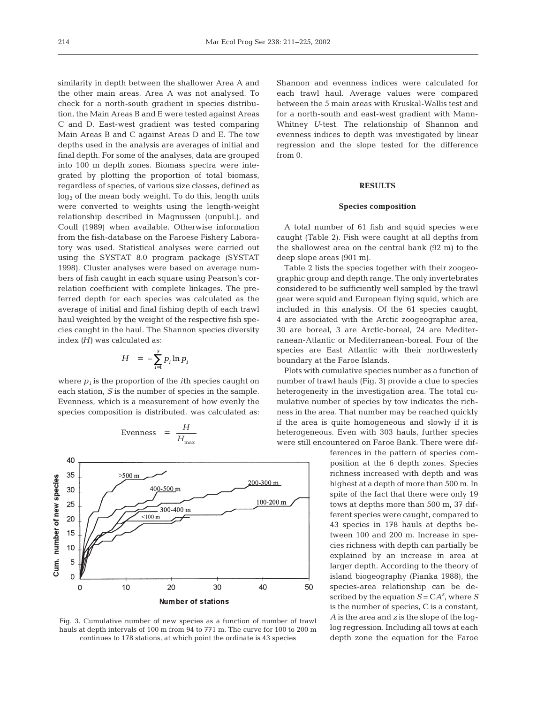similarity in depth between the shallower Area A and the other main areas, Area A was not analysed. To check for a north-south gradient in species distribution, the Main Areas B and E were tested against Areas C and D. East-west gradient was tested comparing Main Areas B and C against Areas D and E. The tow depths used in the analysis are averages of initial and final depth. For some of the analyses, data are grouped into 100 m depth zones. Biomass spectra were integrated by plotting the proportion of total biomass, regardless of species, of various size classes, defined as  $log<sub>2</sub>$  of the mean body weight. To do this, length units were converted to weights using the length-weight relationship described in Magnussen (unpubl.), and Coull (1989) when available. Otherwise information from the fish-database on the Faroese Fishery Laboratory was used. Statistical analyses were carried out using the SYSTAT 8.0 program package (SYSTAT 1998). Cluster analyses were based on average numbers of fish caught in each square using Pearson's correlation coefficient with complete linkages. The preferred depth for each species was calculated as the average of initial and final fishing depth of each trawl haul weighted by the weight of the respective fish species caught in the haul. The Shannon species diversity index *(H)* was calculated as:

$$
H = -\sum_{i=1}^{s} p_i \ln p_i
$$

where  $p_i$  is the proportion of the *i*th species caught on each station, *S* is the number of species in the sample. Evenness, which is a measurement of how evenly the species composition is distributed, was calculated as:

Evenness



 $=$   $\frac{H}{H_{m}}$ 

Fig. 3. Cumulative number of new species as a function of number of trawl hauls at depth intervals of 100 m from 94 to 771 m. The curve for 100 to 200 m continues to 178 stations, at which point the ordinate is 43 species

Shannon and evenness indices were calculated for each trawl haul. Average values were compared between the 5 main areas with Kruskal-Wallis test and for a north-south and east-west gradient with Mann-Whitney *U*-test. The relationship of Shannon and evenness indices to depth was investigated by linear regression and the slope tested for the difference  $from 0$ 

## **RESULTS**

#### **Species composition**

A total number of 61 fish and squid species were caught (Table 2). Fish were caught at all depths from the shallowest area on the central bank (92 m) to the deep slope areas (901 m).

Table 2 lists the species together with their zoogeographic group and depth range. The only invertebrates considered to be sufficiently well sampled by the trawl gear were squid and European flying squid, which are included in this analysis. Of the 61 species caught, 4 are associated with the Arctic zoogeographic area, 30 are boreal, 3 are Arctic-boreal, 24 are Mediterranean-Atlantic or Mediterranean-boreal. Four of the species are East Atlantic with their northwesterly boundary at the Faroe Islands.

Plots with cumulative species number as a function of number of trawl hauls (Fig. 3) provide a clue to species heterogeneity in the investigation area. The total cumulative number of species by tow indicates the richness in the area. That number may be reached quickly if the area is quite homogeneous and slowly if it is heterogeneous. Even with 303 hauls, further species were still encountered on Faroe Bank. There were dif-

> ferences in the pattern of species composition at the 6 depth zones. Species richness increased with depth and was highest at a depth of more than 500 m. In spite of the fact that there were only 19 tows at depths more than 500 m, 37 different species were caught, compared to 43 species in 178 hauls at depths between 100 and 200 m. Increase in species richness with depth can partially be explained by an increase in area at larger depth. According to the theory of island biogeography (Pianka 1988), the species-area relationship can be described by the equation  $S = CA^z$ , where  $S$ is the number of species, C is a constant, *A* is the area and *z* is the slope of the loglog regression. Including all tows at each depth zone the equation for the Faroe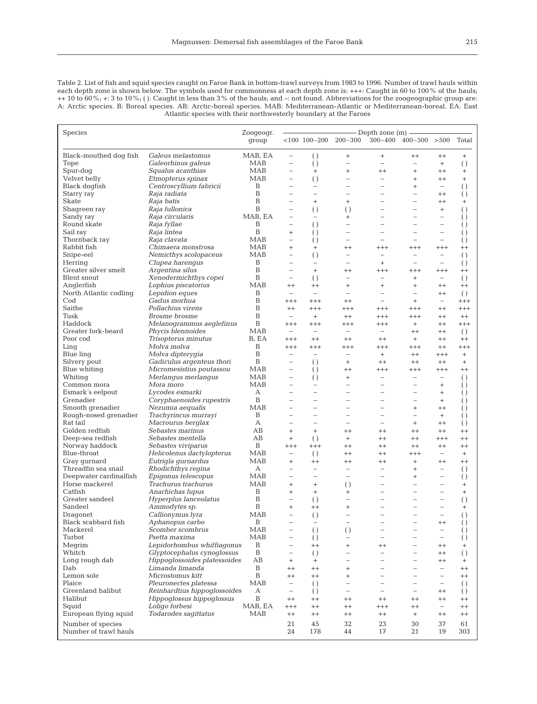Table 2. List of fish and squid species caught on Faroe Bank in bottom-trawl surveys from 1983 to 1996. Number of trawl hauls within each depth zone is shown below. The symbols used for commonness at each depth zone is: +++: Caught in 60 to 100% of the hauls;  $++10$  to  $60\%$ ;  $+$ : 3 to  $10\%$ ; (): Caught in less than 3% of the hauls; and  $-$ : not found. Abbreviations for the zoogeographic group are: A: Arctic species. B: Boreal species. AB: Arctic-boreal species. MAB: Mediterranean-Atlantic or Mediterranean-boreal. EA: East Atlantic species with their northwesterly boundary at the Faroes

|                                     |                                                            |                    | - Depth zone (m) —                                   |                                                |                                                      |                                                      |                                                      |                                      |                               |
|-------------------------------------|------------------------------------------------------------|--------------------|------------------------------------------------------|------------------------------------------------|------------------------------------------------------|------------------------------------------------------|------------------------------------------------------|--------------------------------------|-------------------------------|
| Species                             |                                                            | Zoogeogr.<br>group |                                                      |                                                | $< 100$ 100-200 200-300                              |                                                      | $300-400$ $400-500$ $>500$                           |                                      | Total                         |
|                                     |                                                            |                    |                                                      |                                                |                                                      |                                                      |                                                      |                                      |                               |
| Black-mouthed dog fish              | Galeus melastomus                                          | MAB, EA            | $\qquad \qquad -$                                    | $\left( \right)$                               | $^{+}$                                               | $^{+}$                                               | $^{++}$                                              | $^{++}$                              | $+$                           |
| Tope                                | Galeorhinus galeus                                         | MAB                | $\overline{\phantom{0}}$                             | $\left( \ \right)$                             | $\overline{\phantom{0}}$                             | $\overline{\phantom{0}}$                             | $\overline{\phantom{0}}$                             | $+$                                  | $\left( \ \right)$            |
| Spur-dog                            | Squalus acanthias                                          | <b>MAB</b>         | $\overline{\phantom{0}}$                             | $\ddot{}$                                      | $^{+}$                                               | $^{++}$                                              | $^{+}$                                               | $^{++}$                              | $^{+}$                        |
| Velvet belly                        | Etmopterus spinax<br>Centroscyllium fabricii               | <b>MAB</b><br>B    | $\overline{\phantom{0}}$<br>$\overline{\phantom{0}}$ | $\left( \ \right)$<br>$\overline{\phantom{0}}$ | $\overline{\phantom{0}}$                             | $\overline{\phantom{0}}$<br>$\overline{\phantom{0}}$ | $^{+}$                                               | $^{++}$<br>$\overline{\phantom{0}}$  | $^{+}$                        |
| Black dogfish                       | Raja radiata                                               | B                  | $\overline{a}$                                       | $\overline{\phantom{a}}$                       | $\overline{\phantom{0}}$<br>$\overline{\phantom{0}}$ |                                                      | $^{+}$<br>$\overline{\phantom{0}}$                   | $^{++}$                              | $\left( \right)$              |
| Starry ray<br>Skate                 | Raja batis                                                 | B                  |                                                      | $+$                                            | $^{+}$                                               |                                                      | $\overline{a}$                                       | $^{++}$                              | $\left( \right)$<br>$^{+}$    |
| Shagreen ray                        | Raja fullonica                                             | B                  | $\overline{\phantom{0}}$                             | $\left( \ \right)$                             | $\left( \right)$                                     |                                                      | $\overline{\phantom{0}}$                             | $^{+}$                               | $\left( \ \right)$            |
| Sandy ray                           | Raja circularis                                            | MAB, EA            | $\overline{a}$                                       | $\overline{\phantom{a}}$                       | $^{+}$                                               |                                                      | $\overline{\phantom{a}}$                             | $\overline{\phantom{0}}$             | $\left( \right)$              |
| Round skate                         | Raja fyllae                                                | Β                  | $\overline{\phantom{0}}$                             | $\left( \ \right)$                             | $\overline{\phantom{0}}$                             |                                                      |                                                      | $\overline{a}$                       | $\left( \right)$              |
| Sail ray                            | Raja lintea                                                | B                  | $^{+}$                                               | $\left( \right)$                               | L.                                                   |                                                      |                                                      | $\overline{\phantom{0}}$             | $\left( \right)$              |
| Thornback ray                       | Raja clavata                                               | MAB                | $\overline{\phantom{0}}$                             | $\left( \right)$                               | $\overline{\phantom{0}}$                             |                                                      |                                                      | $\overline{\phantom{0}}$             | $\left( \right)$              |
| Rabbit fish                         | Chimaera monstrosa                                         | <b>MAB</b>         | $^{+}$                                               | $^{+}$                                         | $^{++}$                                              | $^{+++}$                                             | $^{+++}$                                             | $^{+++}$                             | $^{++}$                       |
| Snipe-eel                           | Nemicthys scolopaceus                                      | MAB                | $\overline{\phantom{0}}$                             | $\left( \ \right)$                             | $\overline{\phantom{0}}$                             | $\qquad \qquad -$                                    | $\overline{\phantom{0}}$                             | $\overline{\phantom{0}}$             | $\left( \ \right)$            |
| Herring                             | Clupea harengus                                            | B                  | $\overline{\phantom{0}}$                             | $\overline{\phantom{m}}$                       | $\overline{\phantom{0}}$                             | $^{+}$                                               | $\overline{\phantom{0}}$                             | $\overline{a}$                       | $\left( \right)$              |
| Greater silver smelt                | Argentina silus                                            | B<br>B             | $\overline{a}$                                       | $+$                                            | $^{++}$                                              | $^{+++}$                                             | $^{+++}$                                             | $^{+++}$                             | $^{++}$                       |
| Blent snout<br>Anglerfish           | Xenodermichthys copei<br>Lophius piscatorius               | MAB                | $\overline{\phantom{0}}$<br>$^{++}$                  | $\left( \right)$<br>$^{++}$                    | -<br>$\hbox{+}$                                      | $\overline{\phantom{0}}$<br>$^{+}$                   | $^{+}$<br>$\hbox{ }$                                 | $\overline{\phantom{a}}$<br>$^{++}$  | $\left( \ \right)$<br>$^{++}$ |
| North Atlantic codling              | Lepidion eques                                             | B                  | $\overline{\phantom{0}}$                             | $\overline{\phantom{a}}$                       | $\overline{\phantom{0}}$                             | $\equiv$                                             | $\overline{\phantom{0}}$                             | $^{++}$                              | $\left( \ \right)$            |
| $\rm Cod$                           | Gadus morhua                                               | B                  | $^{+++}$                                             | $^{+++}$                                       | $^{++}$                                              | $\overline{\phantom{a}}$                             | $\ddot{}$                                            | $\qquad \qquad -$                    | $^{+++}$                      |
| Saithe                              | Pollachius virens                                          | B                  | $^{++}$                                              | $^{+++}$                                       | $^{+++}$                                             | $^{+++}$                                             | $^{+++}$                                             | $^{++}$                              | $^{+++}$                      |
| Tusk                                | Brosme brosme                                              | B                  | $\overline{\phantom{0}}$                             | $^{+}$                                         | $^{++}$                                              | $^{+++}$                                             | $^{+++}$                                             | $^{++}$                              | $^{++}$                       |
| Haddock                             | Melanogrammus aeglefinus                                   | B                  | $^{+++}$                                             | $^{+++}$                                       | $^{+++}$                                             | $^{+++}$                                             | $^{+}$                                               | $^{++}$                              | $^{+++}$                      |
| Greater fork-beard                  | Phycis blennoides                                          | <b>MAB</b>         | $\overline{\phantom{0}}$                             | $\overline{\phantom{m}}$                       | $\overline{\phantom{0}}$                             | $\overline{\phantom{m}}$                             | $^{++}$                                              | $^{++}$                              | $\left( \ \right)$            |
| Poor cod                            | Trisopterus minutus                                        | B, EA              | $^{+++}$                                             | $^{++}$                                        | $^{++}$                                              | $^{++}$                                              | $^{+}$                                               | $^{++}$                              | $^{++}$                       |
| Ling                                | Molva molva                                                | B                  | $^{+++}$                                             | $^{+++}$                                       | $^{+++}$                                             | $^{+++}$                                             | $^{+++}$                                             | $^{++}$                              | $^{+++}$                      |
| Blue ling                           | Molva dipterygia                                           | B                  | $\overline{\phantom{0}}$                             | $\overline{\phantom{0}}$                       | $\overline{\phantom{0}}$                             | $^{+}$                                               | $^{++}$                                              | $^{+++}$                             | $+$                           |
| Silvery pout                        | Gadiculus argenteus thori                                  | B<br><b>MAB</b>    | $\overline{\phantom{0}}$<br>$\overline{\phantom{0}}$ | $\left( \right)$                               | $^{+}$                                               | $^{++}$                                              | $^{++}$                                              | $^{++}$                              | $\ddot{}$<br>$^{++}$          |
| Blue whiting<br>Whiting             | Micromesistius poutassou<br>Merlangus merlangus            | <b>MAB</b>         | $\overline{\phantom{a}}$                             | $\left( \right)$                               | $^{++}$<br>$\ddot{}$                                 | $^{+++}$<br>$\overline{\phantom{0}}$                 | $^{+++}$<br>$\overline{\phantom{0}}$                 | $^{+++}$<br>$\overline{\phantom{0}}$ | $\left( \right)$              |
| Common mora                         | Mora moro                                                  | <b>MAB</b>         | $\overline{a}$                                       | $\left( \right)$<br>$\overline{\phantom{0}}$   | $\overline{\phantom{0}}$                             | $\overline{\phantom{0}}$                             | L.                                                   | $^{+}$                               | $\left( \right)$              |
| Esmark's eelpout                    | Lycodes esmarki                                            | A                  | $\overline{\phantom{0}}$                             | $\overline{\phantom{0}}$                       | $\overline{\phantom{0}}$                             |                                                      | $\overline{a}$                                       | $^{+}$                               | $\left( \right)$              |
| Grenadier                           | Coryphaenoides rupestris                                   | B                  | $\overline{\phantom{0}}$                             | $\overline{\phantom{a}}$                       | $\overline{\phantom{0}}$                             | $\overline{\phantom{a}}$                             | $\overline{\phantom{0}}$                             | $^{+}$                               | $\left( \right)$              |
| Smooth grenadier                    | Nezumia aequalis                                           | MAB                | $\overline{\phantom{0}}$                             | $\overline{\phantom{0}}$                       | $\overline{\phantom{0}}$                             | $\overline{\phantom{0}}$                             | $^{+}$                                               | $^{++}$                              | $\left( \right)$              |
| Rough-nosed grenadier               | Trachyrincus murrayi                                       | B                  | $\overline{\phantom{0}}$                             | $\overline{\phantom{0}}$                       | $\overline{\phantom{0}}$                             | $\overline{\phantom{a}}$                             | $\overline{\phantom{0}}$                             | $\ddot{}$                            | $\left( \right)$              |
| Rat tail                            | Macrourus berglax                                          | А                  | $\overline{\phantom{0}}$                             | $\overline{\phantom{0}}$                       | $\overline{\phantom{0}}$                             | $\overline{\phantom{0}}$                             | $^{+}$                                               | $^{++}$                              | $\left( \right)$              |
| Golden redfish                      | Sebastes marinus                                           | AB                 | $^{+}$                                               | $+$                                            | $^{++}$                                              | $^{++}$                                              | $^{++}$                                              | $^{++}$                              | $^{++}$                       |
| Deep-sea redfish                    | Sebastes mentella                                          | AB                 | $^{+}$                                               | $\left( \right)$                               | $^{+}$                                               | $^{++}$                                              | $^{++}$                                              | $^{+++}$                             | $^{++}$                       |
| Norway haddock                      | Sebastes viviparus                                         | B                  | $^{+++}$                                             | $^{+++}$                                       | $^{++}$                                              | $^{++}$                                              | $^{++}$                                              | $^{++}$                              | $^{++}$                       |
| Blue-throat                         | Helicolenus dactylopterus                                  | MAB                | $\overline{\phantom{0}}$                             | $\left( \ \right)$                             | $^{++}$                                              | $^{++}$                                              | $^{+++}$                                             | $\overline{\phantom{0}}$             | $^{+}$                        |
| Gray gurnard<br>Threadfin sea snail | Eutrigla gurnardus<br>Rhodichthys regina                   | <b>MAB</b><br>А    | $^{+}$<br>$\overline{\phantom{0}}$                   | $^{++}$<br>$\overline{\phantom{0}}$            | $^{++}$<br>$\overline{\phantom{0}}$                  | $^{++}$<br>$\overline{\phantom{0}}$                  | $^{+}$<br>$^{+}$                                     | $^{++}$<br>$\overline{\phantom{0}}$  | $^{++}$<br>$\left( \ \right)$ |
| Deepwater cardinalfish              | Epigonus telescopus                                        | MAB                | $\overline{\phantom{0}}$                             | $\overline{\phantom{a}}$                       | $\overline{\phantom{0}}$                             | $\overline{\phantom{0}}$                             | $^{+}$                                               | $\overline{\phantom{0}}$             | $\left( \right)$              |
| Horse mackerel                      | Trachurus trachurus                                        | MAB                | $^{+}$                                               | $^{+}$                                         | $\left( \right)$                                     |                                                      | $\overline{\phantom{0}}$                             | $\overline{\phantom{0}}$             | $^{+}$                        |
| Catfish                             | Anarhichas lupus                                           | B                  | $^{+}$                                               | $\ddot{}$                                      | $^{+}$                                               |                                                      |                                                      | $\overline{\phantom{0}}$             | $^{+}$                        |
| Greater sandeel                     | Hyperplus lanceolatus                                      | B                  | $\overline{\phantom{0}}$                             | $\left( \right)$                               | $\overline{\phantom{0}}$                             |                                                      | L.                                                   | $\overline{\phantom{0}}$             | $\left( \ \right)$            |
| Sandeel                             | Ammodytes sp.                                              | B                  | $^{+}$                                               | $^{++}$                                        | $^{+}$                                               |                                                      |                                                      | $\overline{\phantom{0}}$             | $^{+}$                        |
| Dragonet                            | Callionymus lyra                                           | <b>MAB</b>         | $\overline{\phantom{0}}$                             | $\left( \right)$                               |                                                      |                                                      | ۰                                                    | $\overline{\phantom{0}}$             | ( )                           |
| Black scabbard fish                 | Aphanopus carbo                                            | $\, {\bf B}$       | $\overline{\phantom{0}}$                             | $\overline{\phantom{a}}$                       | $\overline{\phantom{0}}$                             | $\overline{\phantom{0}}$                             | $\overline{\phantom{0}}$                             | $^{++}$                              | $\left( \ \right)$            |
| Mackerel                            | Scomber scombrus                                           | MAB                | $\qquad \qquad -$                                    | $\left(\ \right)$                              | $\left( \ \right)$                                   | $\overline{\phantom{0}}$                             | $\overline{\phantom{0}}$                             | $\qquad \qquad -$                    | $\left( \right)$              |
| Turbot                              | Psetta maxima                                              | MAB                | $\overline{\phantom{0}}$                             | $\left( \right)$                               | $\overline{\phantom{0}}$                             | $\overline{\phantom{0}}$                             | $\overline{\phantom{0}}$                             | $\qquad \qquad -$                    | $\left( \right)$              |
| Megrim<br>Whitch                    | Lepidorhombus whiffiagonus                                 | B<br>B             | $\qquad \qquad -$                                    | $^{++}$                                        | $^{+}$                                               | $^{++}$                                              | $\overline{\phantom{0}}$                             | $^{++}$                              | $^{+}$                        |
| Long rough dab                      | Glyptocephalus cynoglossus<br>Hippoglossoides platessoides | AB                 | -<br>$^{+}$                                          | $\left( \right)$<br>$^{+}$                     | -<br>$\overline{\phantom{0}}$                        | $\qquad \qquad -$<br>$\overline{\phantom{0}}$        | $\overline{\phantom{0}}$<br>$\overline{\phantom{0}}$ | $^{++}$<br>$^{++}$                   | $\left( \right)$<br>$^{+}$    |
| Dab                                 | Limanda limanda                                            | B                  | $^{++}$                                              | $^{++}$                                        | $^{+}$                                               | $\overline{\phantom{m}}$                             | $\overline{\phantom{0}}$                             | $\overline{\phantom{a}}$             | $^{++}$                       |
| Lemon sole                          | Microstomus kitt                                           | B                  | $^{++}$                                              | $^{++}$                                        | $^{+}$                                               | $\overline{\phantom{0}}$                             | $\overline{\phantom{0}}$                             | $\overline{\phantom{0}}$             | $^{++}$                       |
| Plaice                              | Pleuronectes platessa                                      | MAB                | $\overline{\phantom{a}}$                             | $\left( \right)$                               | $\overline{\phantom{0}}$                             | $\overline{\phantom{0}}$                             | $\qquad \qquad -$                                    | $\overline{\phantom{0}}$             | $\left( \right)$              |
| Greenland halibut                   | Reinhardtius hippoglossoides                               | А                  | $\overline{\phantom{0}}$                             | $\left( \right)$                               | $\overline{\phantom{0}}$                             | $\overline{\phantom{0}}$                             | $\qquad \qquad -$                                    | $^{++}$                              | $\left( \right)$              |
| Halibut                             | Hippoglossus hippoglossus                                  | B                  | $^{++}$                                              | $^{++}$                                        | $^{++}$                                              | $^{++}$                                              | $^{++}$                                              | $^{++}$                              | $^{++}$                       |
| Squid                               | Loligo forbesi                                             | MAB, EA            | $^{+++}$                                             | $^{++}$                                        | $^{++}$                                              | $^{+++}$                                             | $^{++}$                                              | $\qquad \qquad -$                    | $^{++}$                       |
| European flying squid               | Todarodes sagittatus                                       | MAB                | $^{++}$                                              | $^{++}$                                        | $^{++}$                                              | $^{++}$                                              | $^{+}$                                               | $^{++}$                              | $^{++}$                       |
| Number of species                   |                                                            |                    | 21                                                   | 45                                             | 32                                                   | 23                                                   | 30                                                   | 37                                   | 61                            |
| Number of trawl hauls               |                                                            |                    | 24                                                   | 178                                            | 44                                                   | 17                                                   | 21                                                   | 19                                   | 303                           |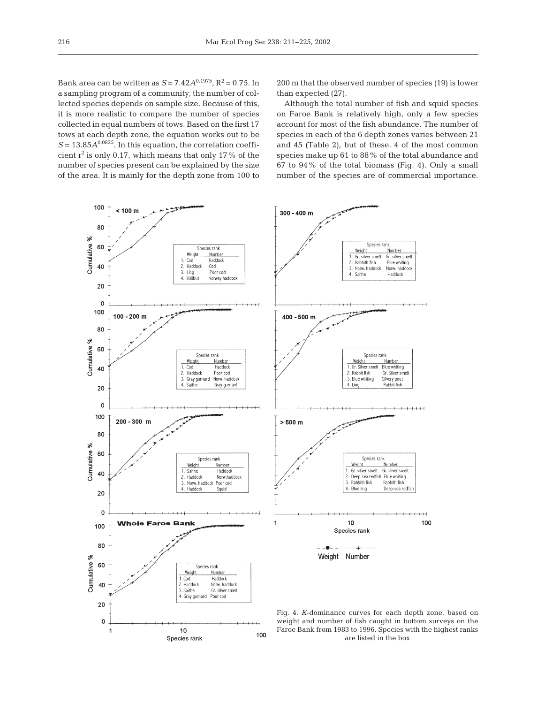Bank area can be written as  $S = 7.42A^{0.1975}$ ,  $R^2 = 0.75$ . In a sampling program of a community, the number of collected species depends on sample size. Because of this, it is more realistic to compare the number of species collected in equal numbers of tows. Based on the first 17 tows at each depth zone, the equation works out to be  $S = 13.85A^{0.0825}$ . In this equation, the correlation coefficient  $r^2$  is only 0.17, which means that only 17% of the number of species present can be explained by the size of the area. It is mainly for the depth zone from 100 to

 $\overline{1}$ 

 $10$ 

Species rank

200 m that the observed number of species (19) is lower than expected (27).

Although the total number of fish and squid species on Faroe Bank is relatively high, only a few species account for most of the fish abundance. The number of species in each of the 6 depth zones varies between 21 and 45 (Table 2), but of these, 4 of the most common species make up 61 to 88% of the total abundance and 67 to 94% of the total biomass (Fig. 4). Only a small number of the species are of commercial importance.



100

weight and number of fish caught in bottom surveys on the Faroe Bank from 1983 to 1996. Species with the highest ranks are listed in the box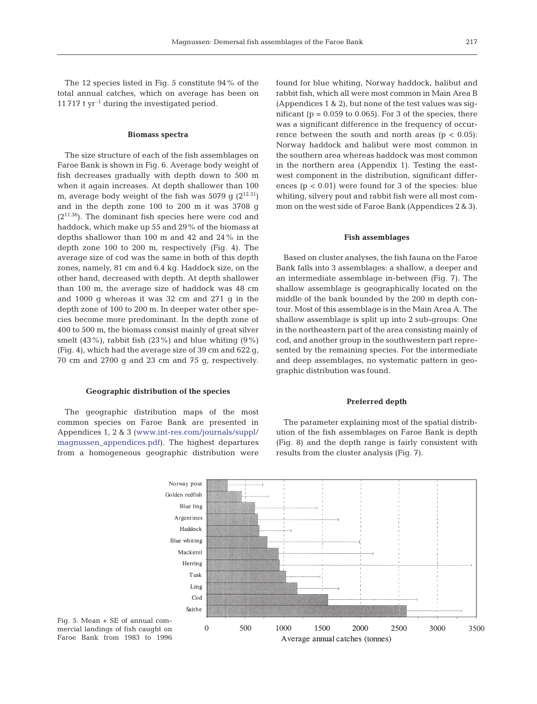The 12 species listed in Fig. 5 constitute 94% of the total annual catches, which on average has been on 11 717 t  $yr^{-1}$  during the investigated period.

### **Biomass spectra**

The size structure of each of the fish assemblages on Faroe Bank is shown in Fig. 6. Average body weight of fish decreases gradually with depth down to 500 m when it again increases. At depth shallower than 100 m, average body weight of the fish was 5079 g  $(2^{12.31})$ and in the depth zone 100 to 200 m it was 3708 g  $(2^{11.36})$ . The dominant fish species here were cod and haddock, which make up 55 and 29% of the biomass at depths shallower than 100 m and 42 and 24% in the depth zone 100 to 200 m, respectively (Fig. 4). The average size of cod was the same in both of this depth zones, namely, 81 cm and 6.4 kg. Haddock size, on the other hand, decreased with depth. At depth shallower than 100 m, the average size of haddock was 48 cm and 1000 g whereas it was 32 cm and 271 g in the depth zone of 100 to 200 m. In deeper water other species become more predominant. In the depth zone of 400 to 500 m, the biomass consist mainly of great silver smelt  $(43\%)$ , rabbit fish  $(23\%)$  and blue whiting  $(9\%)$ (Fig. 4), which had the average size of 39 cm and 622 g, 70 cm and 2700 g and 23 cm and 75 g, respectively.

## **Geographic distribution of the species**

The geographic distribution maps of the most common species on Faroe Bank are presented in Appendices 1, 2 & 3 ([www.int-res.com/journals/suppl/](http://www.int-res.com/journals/suppl/magnussen_appendices.pdf) [magnussen\\_appendices.pdf](http://www.int-res.com/journals/suppl/magnussen_appendices.pdf)). The highest departures from a homogeneous geographic distribution were

found for blue whiting, Norway haddock, halibut and rabbit fish, which all were most common in Main Area B (Appendices 1 & 2), but none of the test values was significant ( $p = 0.059$  to 0.065). For 3 of the species, there was a significant difference in the frequency of occurrence between the south and north areas ( $p < 0.05$ ): Norway haddock and halibut were most common in the southern area whereas haddock was most common in the northern area (Appendix 1). Testing the eastwest component in the distribution, significant differences ( $p < 0.01$ ) were found for 3 of the species: blue whiting, silvery pout and rabbit fish were all most common on the west side of Faroe Bank (Appendices 2 & 3).

#### **Fish assemblages**

Based on cluster analyses, the fish fauna on the Faroe Bank falls into 3 assemblages: a shallow, a deeper and an intermediate assemblage in-between (Fig. 7). The shallow assemblage is geographically located on the middle of the bank bounded by the 200 m depth contour. Most of this assemblage is in the Main Area A. The shallow assemblage is split up into 2 sub-groups: One in the northeastern part of the area consisting mainly of cod, and another group in the southwestern part represented by the remaining species. For the intermediate and deep assemblages, no systematic pattern in geographic distribution was found.

#### **Preferred depth**

The parameter explaining most of the spatial distribution of the fish assemblages on Faroe Bank is depth (Fig. 8) and the depth range is fairly consistent with results from the cluster analysis (Fig. 7).



Fig. 5. Mean + SE of annual commercial landings of fish caught on Faroe Bank from 1983 to 1996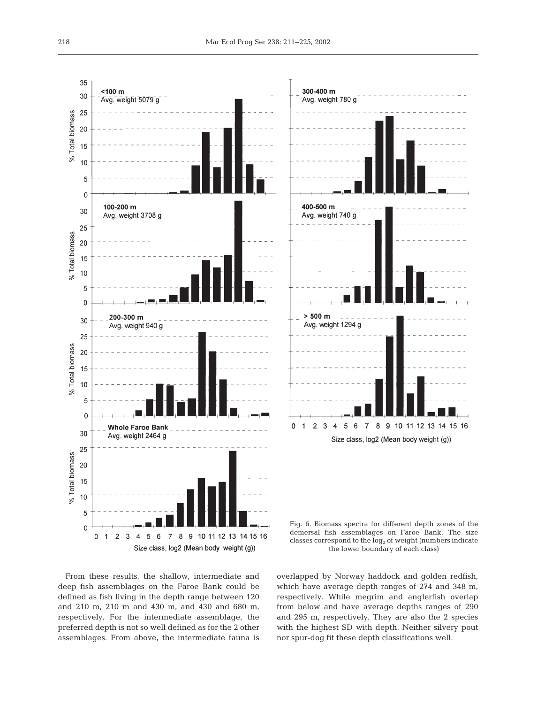





From these results, the shallow, intermediate and deep fish assemblages on the Faroe Bank could be defined as fish living in the depth range between 120 and 210 m, 210 m and 430 m, and 430 and 680 m, respectively. For the intermediate assemblage, the preferred depth is not so well defined as for the 2 other assemblages. From above, the intermediate fauna is overlapped by Norway haddock and golden redfish, which have average depth ranges of 274 and 348 m, respectively. While megrim and anglerfish overlap from below and have average depths ranges of 290 and 295 m, respectively. They are also the 2 species with the highest SD with depth. Neither silvery pout nor spur-dog fit these depth classifications well.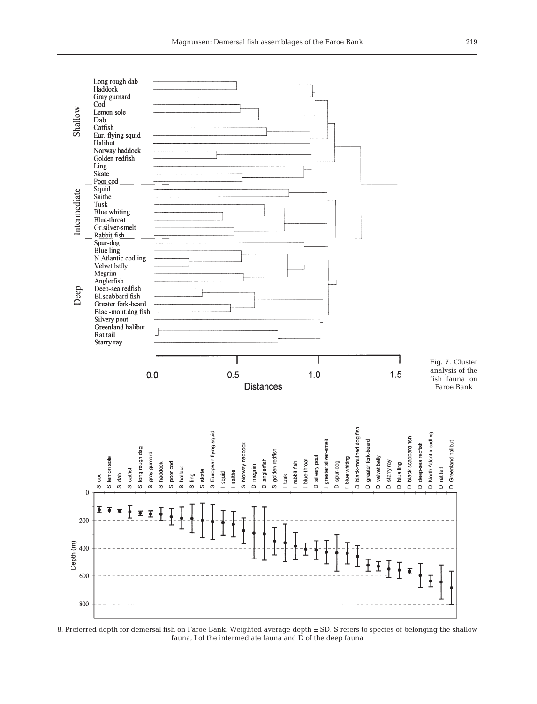

8. Preferred depth for demersal fish on Faroe Bank. Weighted average depth ± SD. S refers to species of belonging the shallow fauna, I of the intermediate fauna and D of the deep fauna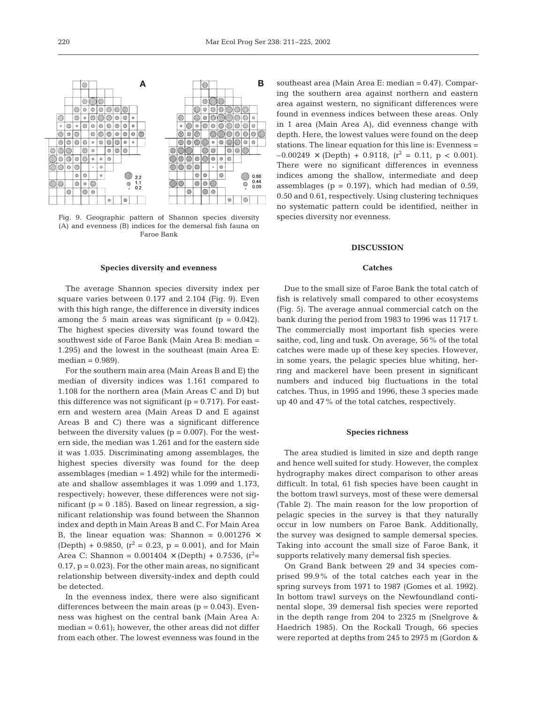

Fig. 9. Geographic pattern of Shannon species diversity (A) and evenness (B) indices for the demersal fish fauna on Faroe Bank

#### **Species diversity and evenness**

The average Shannon species diversity index per square varies between 0.177 and 2.104 (Fig. 9). Even with this high range, the difference in diversity indices among the 5 main areas was significant  $(p = 0.042)$ . The highest species diversity was found toward the southwest side of Faroe Bank (Main Area B: median = 1.295) and the lowest in the southeast (main Area E:  $median = 0.989$ .

For the southern main area (Main Areas B and E) the median of diversity indices was 1.161 compared to 1.108 for the northern area (Main Areas C and D) but this difference was not significant  $(p = 0.717)$ . For eastern and western area (Main Areas D and E against Areas B and C) there was a significant difference between the diversity values ( $p = 0.007$ ). For the western side, the median was 1.261 and for the eastern side it was 1.035. Discriminating among assemblages, the highest species diversity was found for the deep assemblages (median = 1.492) while for the intermediate and shallow assemblages it was 1.099 and 1.173, respectively; however, these differences were not significant ( $p = 0.185$ ). Based on linear regression, a significant relationship was found between the Shannon index and depth in Main Areas B and C. For Main Area B, the linear equation was: Shannon =  $0.001276 \times$ (Depth) + 0.9850,  $(r^2 = 0.23, p = 0.001)$ , and for Main Area C: Shannon =  $0.001404 \times (Depth) + 0.7536$ , (r<sup>2</sup>=  $0.17$ ,  $p = 0.023$ . For the other main areas, no significant relationship between diversity-index and depth could be detected.

In the evenness index, there were also significant differences between the main areas  $(p = 0.043)$ . Evenness was highest on the central bank (Main Area A:  $median = 0.61$ ; however, the other areas did not differ from each other. The lowest evenness was found in the

southeast area (Main Area E: median  $= 0.47$ ). Comparing the southern area against northern and eastern area against western, no significant differences were found in evenness indices between these areas. Only in 1 area (Main Area A), did evenness change with depth. Here, the lowest values were found on the deep stations. The linear equation for this line is: Evenness =  $-0.00249 \times (Depth) + 0.9118$ ,  $(r^2 = 0.11$ ,  $p < 0.001$ ). There were no significant differences in evenness indices among the shallow, intermediate and deep assemblages ( $p = 0.197$ ), which had median of 0.59, 0.50 and 0.61, respectively. Using clustering techniques no systematic pattern could be identified, neither in species diversity nor evenness.

## **DISCUSSION**

#### **Catches**

Due to the small size of Faroe Bank the total catch of fish is relatively small compared to other ecosystems (Fig. 5). The average annual commercial catch on the bank during the period from 1983 to 1996 was 11 717 t. The commercially most important fish species were saithe, cod, ling and tusk. On average, 56% of the total catches were made up of these key species. However, in some years, the pelagic species blue whiting, herring and mackerel have been present in significant numbers and induced big fluctuations in the total catches. Thus, in 1995 and 1996, these 3 species made up 40 and 47% of the total catches, respectively.

### **Species richness**

The area studied is limited in size and depth range and hence well suited for study. However, the complex hydrography makes direct comparison to other areas difficult. In total, 61 fish species have been caught in the bottom trawl surveys, most of these were demersal (Table 2). The main reason for the low proportion of pelagic species in the survey is that they naturally occur in low numbers on Faroe Bank. Additionally, the survey was designed to sample demersal species. Taking into account the small size of Faroe Bank, it supports relatively many demersal fish species.

On Grand Bank between 29 and 34 species comprised 99.9% of the total catches each year in the spring surveys from 1971 to 1987 (Gomes et al. 1992). In bottom trawl surveys on the Newfoundland continental slope, 39 demersal fish species were reported in the depth range from 204 to 2325 m (Snelgrove & Haedrich 1985). On the Rockall Trough, 66 species were reported at depths from 245 to 2975 m (Gordon &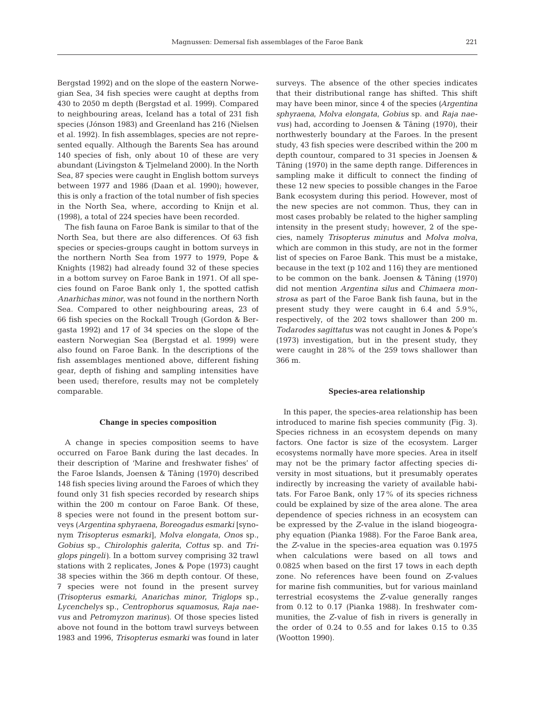Bergstad 1992) and on the slope of the eastern Norwegian Sea, 34 fish species were caught at depths from 430 to 2050 m depth (Bergstad et al. 1999). Compared to neighbouring areas, Iceland has a total of 231 fish species (Jónson 1983) and Greenland has 216 (Nielsen et al. 1992). In fish assemblages, species are not represented equally. Although the Barents Sea has around 140 species of fish, only about 10 of these are very abundant (Livingston & Tjelmeland 2000). In the North Sea, 87 species were caught in English bottom surveys between 1977 and 1986 (Daan et al. 1990); however, this is only a fraction of the total number of fish species in the North Sea, where, according to Knijn et al. (1998), a total of 224 species have been recorded.

The fish fauna on Faroe Bank is similar to that of the North Sea, but there are also differences. Of 63 fish species or species-groups caught in bottom surveys in the northern North Sea from 1977 to 1979, Pope & Knights (1982) had already found 32 of these species in a bottom survey on Faroe Bank in 1971. Of all species found on Faroe Bank only 1, the spotted catfish *Anarhichas minor*, was not found in the northern North Sea. Compared to other neighbouring areas, 23 of 66 fish species on the Rockall Trough (Gordon & Bergasta 1992) and 17 of 34 species on the slope of the eastern Norwegian Sea (Bergstad et al. 1999) were also found on Faroe Bank. In the descriptions of the fish assemblages mentioned above, different fishing gear, depth of fishing and sampling intensities have been used; therefore, results may not be completely comparable.

#### **Change in species composition**

A change in species composition seems to have occurred on Faroe Bank during the last decades. In their description of 'Marine and freshwater fishes' of the Faroe Islands, Joensen & Tåning (1970) described 148 fish species living around the Faroes of which they found only 31 fish species recorded by research ships within the 200 m contour on Faroe Bank. Of these, 8 species were not found in the present bottom surveys (*Argentina sphyraena, Boreogadus esmarki* [synonym *Trisopterus esmarki*], *Molva elongata, Onos* sp., *Gobius* sp., *Chirolophis galerita, Cottus* sp. and *Triglops pingeli)*. In a bottom survey comprising 32 trawl stations with 2 replicates, Jones & Pope (1973) caught 38 species within the 366 m depth contour. Of these, 7 species were not found in the present survey *(Trisopterus esmarki, Anarichas minor, Triglops* sp., *Lycenchelys* sp., *Centrophorus squamosus, Raja naevus* and *Petromyzon marinus)*. Of those species listed above not found in the bottom trawl surveys between 1983 and 1996, *Trisopterus esmarki* was found in later

surveys. The absence of the other species indicates that their distributional range has shifted. This shift may have been minor, since 4 of the species *(Argentina sphyraena, Molva elongata, Gobius* sp. and *Raja naevus)* had, according to Joensen & Tåning (1970), their northwesterly boundary at the Faroes. In the present study, 43 fish species were described within the 200 m depth countour, compared to 31 species in Joensen & Tåning (1970) in the same depth range. Differences in sampling make it difficult to connect the finding of these 12 new species to possible changes in the Faroe Bank ecosystem during this period. However, most of the new species are not common. Thus, they can in most cases probably be related to the higher sampling intensity in the present study; however, 2 of the species, namely *Trisopterus minutus* and *Molva molva*, which are common in this study, are not in the former list of species on Faroe Bank. This must be a mistake, because in the text (p 102 and 116) they are mentioned to be common on the bank. Joensen & Tåning (1970) did not mention *Argentina silus* and *Chimaera monstrosa* as part of the Faroe Bank fish fauna, but in the present study they were caught in 6.4 and 5.9%, respectively, of the 202 tows shallower than 200 m. *Todarodes sagittatus* was not caught in Jones & Pope's (1973) investigation, but in the present study, they were caught in 28% of the 259 tows shallower than 366 m.

## **Species-area relationship**

In this paper, the species-area relationship has been introduced to marine fish species community (Fig. 3). Species richness in an ecosystem depends on many factors. One factor is size of the ecosystem. Larger ecosystems normally have more species. Area in itself may not be the primary factor affecting species diversity in most situations, but it presumably operates indirectly by increasing the variety of available habitats. For Faroe Bank, only 17% of its species richness could be explained by size of the area alone. The area dependence of species richness in an ecosystem can be expressed by the *Z*-value in the island biogeography equation (Pianka 1988). For the Faroe Bank area, the *Z*-value in the species-area equation was 0.1975 when calculations were based on all tows and 0.0825 when based on the first 17 tows in each depth zone. No references have been found on *Z*-values for marine fish communities, but for various mainland terrestrial ecosystems the *Z*-value generally ranges from 0.12 to 0.17 (Pianka 1988). In freshwater communities, the *Z*-value of fish in rivers is generally in the order of 0.24 to 0.55 and for lakes 0.15 to 0.35 (Wootton 1990).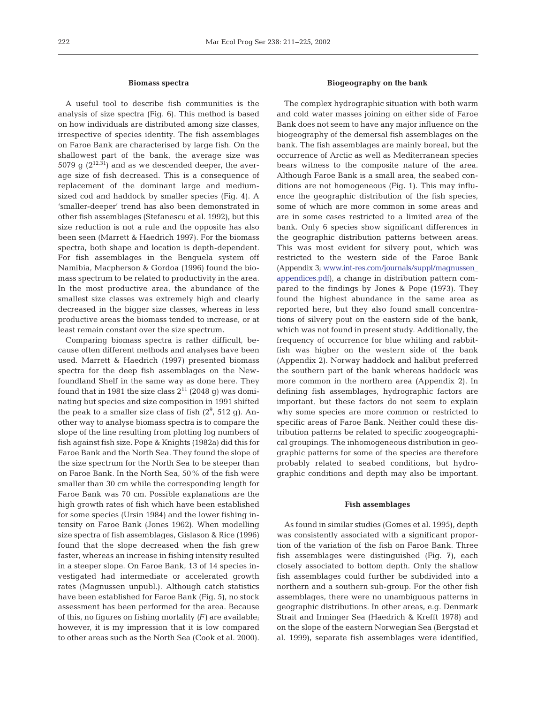#### **Biomass spectra**

A useful tool to describe fish communities is the analysis of size spectra (Fig. 6). This method is based on how individuals are distributed among size classes, irrespective of species identity. The fish assemblages on Faroe Bank are characterised by large fish. On the shallowest part of the bank, the average size was 5079  $\alpha$  (2<sup>12.31</sup>) and as we descended deeper, the average size of fish decreased. This is a consequence of replacement of the dominant large and mediumsized cod and haddock by smaller species (Fig. 4). A 'smaller-deeper' trend has also been demonstrated in other fish assemblages (Stefanescu et al. 1992), but this size reduction is not a rule and the opposite has also been seen (Marrett & Haedrich 1997). For the biomass spectra, both shape and location is depth-dependent. For fish assemblages in the Benguela system off Namibia, Macpherson & Gordoa (1996) found the biomass spectrum to be related to productivity in the area. In the most productive area, the abundance of the smallest size classes was extremely high and clearly decreased in the bigger size classes, whereas in less productive areas the biomass tended to increase, or at least remain constant over the size spectrum.

Comparing biomass spectra is rather difficult, because often different methods and analyses have been used. Marrett & Haedrich (1997) presented biomass spectra for the deep fish assemblages on the Newfoundland Shelf in the same way as done here. They found that in 1981 the size class  $2^{11}$  (2048 g) was dominating but species and size composition in 1991 shifted the peak to a smaller size class of fish  $(2^9, 512, g)$ . Another way to analyse biomass spectra is to compare the slope of the line resulting from plotting log numbers of fish against fish size. Pope & Knights (1982a) did this for Faroe Bank and the North Sea. They found the slope of the size spectrum for the North Sea to be steeper than on Faroe Bank. In the North Sea, 50% of the fish were smaller than 30 cm while the corresponding length for Faroe Bank was 70 cm. Possible explanations are the high growth rates of fish which have been established for some species (Ursin 1984) and the lower fishing intensity on Faroe Bank (Jones 1962). When modelling size spectra of fish assemblages, Gislason & Rice (1996) found that the slope decreased when the fish grew faster, whereas an increase in fishing intensity resulted in a steeper slope. On Faroe Bank, 13 of 14 species investigated had intermediate or accelerated growth rates (Magnussen unpubl.). Although catch statistics have been established for Faroe Bank (Fig. 5), no stock assessment has been performed for the area. Because of this, no figures on fishing mortality *(F)* are available; however, it is my impression that it is low compared to other areas such as the North Sea (Cook et al. 2000).

## **Biogeography on the bank**

The complex hydrographic situation with both warm and cold water masses joining on either side of Faroe Bank does not seem to have any major influence on the biogeography of the demersal fish assemblages on the bank. The fish assemblages are mainly boreal, but the occurrence of Arctic as well as Mediterranean species bears witness to the composite nature of the area. Although Faroe Bank is a small area, the seabed conditions are not homogeneous (Fig. 1). This may influence the geographic distribution of the fish species, some of which are more common in some areas and are in some cases restricted to a limited area of the bank. Only 6 species show significant differences in the geographic distribution patterns between areas. This was most evident for silvery pout, which was restricted to the western side of the Faroe Bank (Appendix 3; [www.int-res.com/journals/suppl/magnussen\\_](http://www.int-res.com/journals/suppl/magnussen_appendices.pdf) [appendices.pdf](http://www.int-res.com/journals/suppl/magnussen_appendices.pdf)), a change in distribution pattern compared to the findings by Jones & Pope (1973). They found the highest abundance in the same area as reported here, but they also found small concentrations of silvery pout on the eastern side of the bank, which was not found in present study. Additionally, the frequency of occurrence for blue whiting and rabbitfish was higher on the western side of the bank (Appendix 2). Norway haddock and halibut preferred the southern part of the bank whereas haddock was more common in the northern area (Appendix 2). In defining fish assemblages, hydrographic factors are important, but these factors do not seem to explain why some species are more common or restricted to specific areas of Faroe Bank. Neither could these distribution patterns be related to specific zoogeographical groupings. The inhomogeneous distribution in geographic patterns for some of the species are therefore probably related to seabed conditions, but hydrographic conditions and depth may also be important.

#### **Fish assemblages**

As found in similar studies (Gomes et al. 1995), depth was consistently associated with a significant proportion of the variation of the fish on Faroe Bank. Three fish assemblages were distinguished (Fig. 7), each closely associated to bottom depth. Only the shallow fish assemblages could further be subdivided into a northern and a southern sub-group. For the other fish assemblages, there were no unambiguous patterns in geographic distributions. In other areas, e.g. Denmark Strait and Irminger Sea (Haedrich & Krefft 1978) and on the slope of the eastern Norwegian Sea (Bergstad et al. 1999), separate fish assemblages were identified,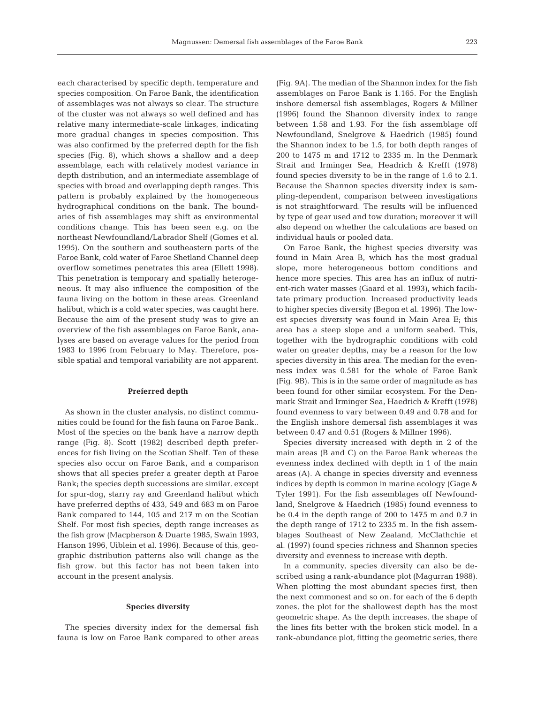each characterised by specific depth, temperature and species composition. On Faroe Bank, the identification of assemblages was not always so clear. The structure of the cluster was not always so well defined and has relative many intermediate-scale linkages, indicating more gradual changes in species composition. This was also confirmed by the preferred depth for the fish species (Fig. 8), which shows a shallow and a deep assemblage, each with relatively modest variance in depth distribution, and an intermediate assemblage of species with broad and overlapping depth ranges. This pattern is probably explained by the homogeneous hydrographical conditions on the bank. The boundaries of fish assemblages may shift as environmental conditions change. This has been seen e.g. on the northeast Newfoundland/Labrador Shelf (Gomes et al. 1995). On the southern and southeastern parts of the Faroe Bank, cold water of Faroe Shetland Channel deep overflow sometimes penetrates this area (Ellett 1998). This penetration is temporary and spatially heterogeneous. It may also influence the composition of the fauna living on the bottom in these areas. Greenland halibut, which is a cold water species, was caught here. Because the aim of the present study was to give an overview of the fish assemblages on Faroe Bank, analyses are based on average values for the period from 1983 to 1996 from February to May. Therefore, possible spatial and temporal variability are not apparent.

#### **Preferred depth**

As shown in the cluster analysis, no distinct communities could be found for the fish fauna on Faroe Bank.. Most of the species on the bank have a narrow depth range (Fig. 8). Scott (1982) described depth preferences for fish living on the Scotian Shelf. Ten of these species also occur on Faroe Bank, and a comparison shows that all species prefer a greater depth at Faroe Bank; the species depth successions are similar, except for spur-dog, starry ray and Greenland halibut which have preferred depths of 433, 549 and 683 m on Faroe Bank compared to 144, 105 and 217 m on the Scotian Shelf. For most fish species, depth range increases as the fish grow (Macpherson & Duarte 1985, Swain 1993, Hanson 1996, Uiblein et al. 1996). Because of this, geographic distribution patterns also will change as the fish grow, but this factor has not been taken into account in the present analysis.

## **Species diversity**

The species diversity index for the demersal fish fauna is low on Faroe Bank compared to other areas (Fig. 9A). The median of the Shannon index for the fish assemblages on Faroe Bank is 1.165. For the English inshore demersal fish assemblages, Rogers & Millner (1996) found the Shannon diversity index to range between 1.58 and 1.93. For the fish assemblage off Newfoundland, Snelgrove & Haedrich (1985) found the Shannon index to be 1.5, for both depth ranges of 200 to 1475 m and 1712 to 2335 m. In the Denmark Strait and Irminger Sea, Headrich & Krefft (1978) found species diversity to be in the range of 1.6 to 2.1. Because the Shannon species diversity index is sampling-dependent, comparison between investigations is not straightforward. The results will be influenced by type of gear used and tow duration; moreover it will also depend on whether the calculations are based on individual hauls or pooled data.

On Faroe Bank, the highest species diversity was found in Main Area B, which has the most gradual slope, more heterogeneous bottom conditions and hence more species. This area has an influx of nutrient-rich water masses (Gaard et al. 1993), which facilitate primary production. Increased productivity leads to higher species diversity (Begon et al. 1996). The lowest species diversity was found in Main Area E; this area has a steep slope and a uniform seabed. This, together with the hydrographic conditions with cold water on greater depths, may be a reason for the low species diversity in this area. The median for the evenness index was 0.581 for the whole of Faroe Bank (Fig. 9B). This is in the same order of magnitude as has been found for other similar ecosystem. For the Denmark Strait and Irminger Sea, Haedrich & Krefft (1978) found evenness to vary between 0.49 and 0.78 and for the English inshore demersal fish assemblages it was between 0.47 and 0.51 (Rogers & Millner 1996).

Species diversity increased with depth in 2 of the main areas (B and C) on the Faroe Bank whereas the evenness index declined with depth in 1 of the main areas (A). A change in species diversity and evenness indices by depth is common in marine ecology (Gage & Tyler 1991). For the fish assemblages off Newfoundland, Snelgrove & Haedrich (1985) found evenness to be 0.4 in the depth range of 200 to 1475 m and 0.7 in the depth range of 1712 to 2335 m. In the fish assemblages Southeast of New Zealand, McClathchie et al*.* (1997) found species richness and Shannon species diversity and evenness to increase with depth.

In a community, species diversity can also be described using a rank-abundance plot (Magurran 1988). When plotting the most abundant species first, then the next commonest and so on, for each of the 6 depth zones, the plot for the shallowest depth has the most geometric shape. As the depth increases, the shape of the lines fits better with the broken stick model. In a rank-abundance plot, fitting the geometric series, there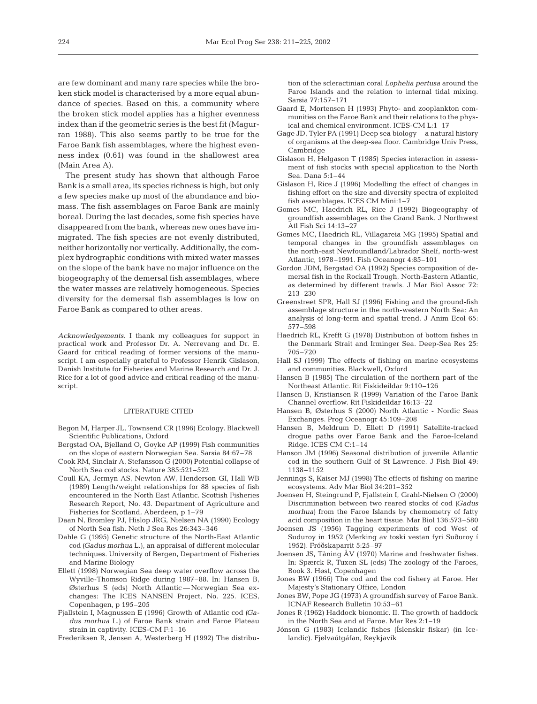are few dominant and many rare species while the broken stick model is characterised by a more equal abundance of species. Based on this, a community where the broken stick model applies has a higher evenness index than if the geometric series is the best fit (Magurran 1988). This also seems partly to be true for the Faroe Bank fish assemblages, where the highest evenness index (0.61) was found in the shallowest area (Main Area A).

The present study has shown that although Faroe Bank is a small area, its species richness is high, but only a few species make up most of the abundance and biomass. The fish assemblages on Faroe Bank are mainly boreal. During the last decades, some fish species have disappeared from the bank, whereas new ones have immigrated. The fish species are not evenly distributed, neither horizontally nor vertically. Additionally, the complex hydrographic conditions with mixed water masses on the slope of the bank have no major influence on the biogeography of the demersal fish assemblages, where the water masses are relatively homogeneous. Species diversity for the demersal fish assemblages is low on Faroe Bank as compared to other areas.

*Acknowledgements.* I thank my colleagues for support in practical work and Professor Dr. A. Nørrevang and Dr. E. Gaard for critical reading of former versions of the manuscript. I am especially grateful to Professor Henrik Gislason, Danish Institute for Fisheries and Marine Research and Dr. J. Rice for a lot of good advice and critical reading of the manuscript.

## LITERATURE CITED

- Begon M, Harper JL, Townsend CR (1996) Ecology. Blackwell Scientific Publications, Oxford
- Bergstad OA, Bjelland O, Goyke AP (1999) Fish communities on the slope of eastern Norwegian Sea. Sarsia 84:67–78
- Cook RM, Sinclair A, Stefansson G (2000) Potential collapse of North Sea cod stocks. Nature 385:521–522
- Coull KA, Jermyn AS, Newton AW, Henderson GI, Hall WB (1989) Length/weight relationships for 88 species of fish encountered in the North East Atlantic. Scottish Fisheries Research Report, No. 43. Department of Agriculture and Fisheries for Scotland, Aberdeen, p 1–79
- Daan N, Bromley PJ, Hislop JRG, Nielsen NA (1990) Ecology of North Sea fish. Neth J Sea Res 26:343–346
- Dahle G (1995) Genetic structure of the North-East Atlantic cod *(Gadus morhua* L.), an appraisal of different molecular techniques. University of Bergen, Department of Fisheries and Marine Biology
- Ellett (1998) Norwegian Sea deep water overflow across the Wyville-Thomson Ridge during 1987–88. In: Hansen B, Østerhus S (eds) North Atlantic — Norwegian Sea exchanges: The ICES NANSEN Project, No. 225. ICES, Copenhagen, p 195–205
- Fjallstein I, Magnussen E (1996) Growth of Atlantic cod *(Gadus morhua* L.) of Faroe Bank strain and Faroe Plateau strain in captivity. ICES-CM F:1–16

Frederiksen R, Jensen A, Westerberg H (1992) The distribu-

tion of the scleractinian coral *Lophelia pertusa* around the Faroe Islands and the relation to internal tidal mixing. Sarsia 77:157–171

- Gaard E, Mortensen H (1993) Phyto- and zooplankton communities on the Faroe Bank and their relations to the physical and chemical environment. ICES-CM L:1–17
- Gage JD, Tyler PA (1991) Deep sea biology—a natural history of organisms at the deep-sea floor. Cambridge Univ Press, Cambridge
- Gislason H, Helgason T (1985) Species interaction in assessment of fish stocks with special application to the North Sea. Dana 5:1–44
- Gislason H, Rice J (1996) Modelling the effect of changes in fishing effort on the size and diversity spectra of exploited fish assemblages. ICES CM Mini:1–7
- Gomes MC, Haedrich RL, Rice J (1992) Biogeography of groundfish assemblages on the Grand Bank. J Northwest Atl Fish Sci 14:13–27
- Gomes MC, Haedrich RL, Villagareia MG (1995) Spatial and temporal changes in the groundfish assemblages on the north-east Newfoundland/Labrador Shelf, north-west Atlantic, 1978–1991. Fish Oceanogr 4:85–101
- Gordon JDM, Bergstad OA (1992) Species composition of demersal fish in the Rockall Trough, North-Eastern Atlantic, as determined by different trawls. J Mar Biol Assoc 72: 213–230
- Greenstreet SPR, Hall SJ (1996) Fishing and the ground-fish assemblage structure in the north-western North Sea: An analysis of long-term and spatial trend. J Anim Ecol 65: 577–598
- Haedrich RL, Krefft G (1978) Distribution of bottom fishes in the Denmark Strait and Irminger Sea. Deep-Sea Res 25: 705–720
- Hall SJ (1999) The effects of fishing on marine ecosystems and communities. Blackwell, Oxford
- Hansen B (1985) The circulation of the northern part of the Northeast Atlantic. Rit Fiskideildar 9:110–126
- Hansen B, Kristiansen R (1999) Variation of the Faroe Bank Channel overflow. Rit Fiskideildar 16:13–22
- Hansen B, Østerhus S (2000) North Atlantic Nordic Seas Exchanges. Prog Oceanogr 45:109–208
- Hansen B, Meldrum D, Ellett D (1991) Satellite-tracked drogue paths over Faroe Bank and the Faroe-Iceland Ridge. ICES CM C:1–14
- Hanson JM (1996) Seasonal distribution of juvenile Atlantic cod in the southern Gulf of St Lawrence. J Fish Biol 49: 1138–1152
- Jennings S, Kaiser MJ (1998) The effects of fishing on marine ecosystems. Adv Mar Biol 34:201–352
- Joensen H, Steingrund P, Fjallstein I, Grahl-Nielsen O (2000) Discrimination between two reared stocks of cod *(Gadus morhua)* from the Faroe Islands by chemometry of fatty acid composition in the heart tissue. Mar Biol 136:573–580
- Joensen JS (1956) Tagging experiments of cod West of Suduroy in 1952 (Merking av toski vestan fyri Suðuroy í 1952). Fróðskaparrit 5:25-97
- Joensen JS, Tåning ÅV (1970) Marine and freshwater fishes. In: Spærck R, Tuxen SL (eds) The zoology of the Faroes, Book 3. Høst, Copenhagen
- Jones BW (1966) The cod and the cod fishery at Faroe. Her Majesty's Stationary Office, London
- Jones BW, Pope JG (1973) A groundfish survey of Faroe Bank. ICNAF Research Bulletin 10:53–61
- Jones R (1962) Haddock bionomic. II. The growth of haddock in the North Sea and at Faroe. Mar Res 2:1–19
- Jónson G (1983) Icelandic fishes (Íslenskir fiskar) (in Icelandic). Fjølvaútgáfan, Reykjavík